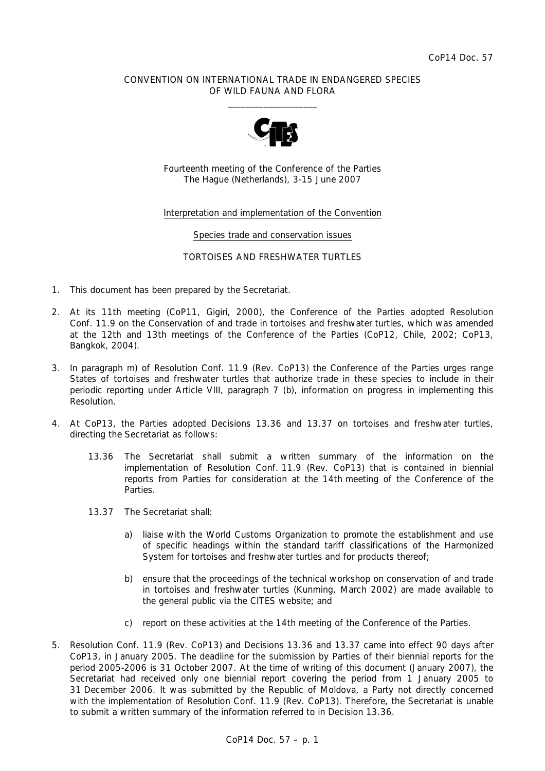## CONVENTION ON INTERNATIONAL TRADE IN ENDANGERED SPECIES OF WILD FAUNA AND FLORA  $\overline{\phantom{a}}$  , and the set of the set of the set of the set of the set of the set of the set of the set of the set of the set of the set of the set of the set of the set of the set of the set of the set of the set of the s



Fourteenth meeting of the Conference of the Parties The Hague (Netherlands), 3-15 June 2007

# Interpretation and implementation of the Convention

#### Species trade and conservation issues

## TORTOISES AND FRESHWATER TURTLES

- 1. This document has been prepared by the Secretariat.
- 2. At its 11th meeting (CoP11, Gigiri, 2000), the Conference of the Parties adopted Resolution Conf. 11.9 on the Conservation of and trade in tortoises and freshwater turtles, which was amended at the 12th and 13th meetings of the Conference of the Parties (CoP12, Chile, 2002; CoP13, Bangkok, 2004).
- 3. In paragraph m) of Resolution Conf. 11.9 (Rev. CoP13) the Conference of the Parties urges *range States of tortoises and freshwater turtles that authorize trade in these species to include in their periodic reporting under Article VIII, paragraph 7 (b), information on progress in implementing this Resolution.*
- 4. At CoP13, the Parties adopted Decisions 13.36 and 13.37 on tortoises and freshwater turtles, directing the Secretariat as follows:
	- 13.36 The Secretariat shall submit a written summary of the information on the *implementation of Resolution Conf. 11.9 (Rev. CoP13) that is contained in biennial reports from Parties for consideration at the 14th meeting of the Conference of the Parties.*
	- *13.37 The Secretariat shall:* 
		- *a) liaise with the World Customs Organization to promote the establishment and use of specific headings within the standard tariff classifications of the Harmonized System for tortoises and freshwater turtles and for products thereof;*
		- *b) ensure that the proceedings of the technical workshop on conservation of and trade in tortoises and freshwater turtles (Kunming, March 2002) are made available to the general public via the CITES website; and*
		- *c) report on these activities at the 14th meeting of the Conference of the Parties.*
- 5. Resolution Conf. 11.9 (Rev. CoP13) and Decisions 13.36 and 13.37 came into effect 90 days after CoP13, in January 2005. The deadline for the submission by Parties of their biennial reports for the period 2005-2006 is 31 October 2007. At the time of writing of this document (January 2007), the Secretariat had received only one biennial report covering the period from 1 January 2005 to 31 December 2006. It was submitted by the Republic of Moldova, a Party not directly concerned with the implementation of Resolution Conf. 11.9 (Rev. CoP13). Therefore, the Secretariat is unable to submit a written summary of the information referred to in Decision 13.36.